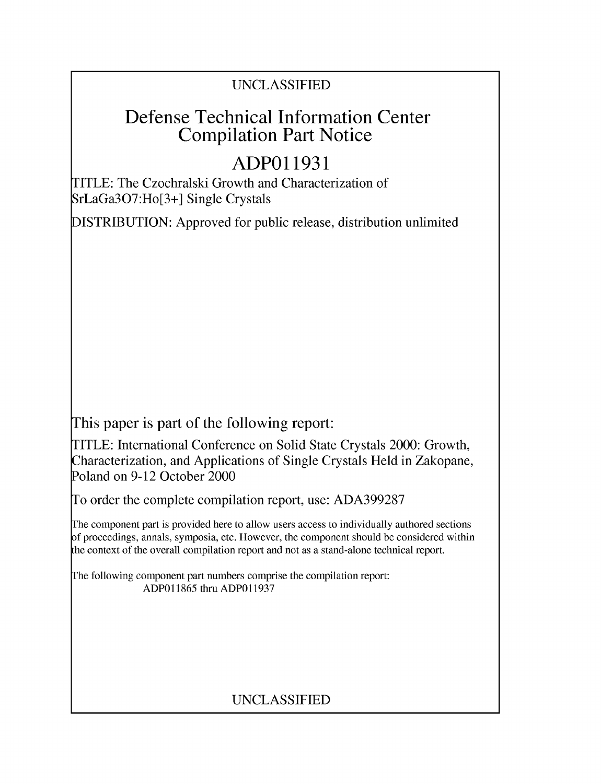### UNCLASSIFIED

## Defense Technical Information Center Compilation Part Notice

# **ADPO 11931**

TITLE: The Czochralski Growth and Characterization of SrLaGa307:Ho[3+] Single Crystals

DISTRIBUTION: Approved for public release, distribution unlimited

This paper is part of the following report:

TITLE: International Conference on Solid State Crystals 2000: Growth, Characterization, and Applications of Single Crystals Held in Zakopane, Poland on 9-12 October 2000

To order the complete compilation report, use: ADA399287

The component part is provided here to allow users access to individually authored sections f proceedings, annals, symposia, etc. However, the component should be considered within [he context of the overall compilation report and not as a stand-alone technical report.

The following component part numbers comprise the compilation report: ADP011865 thru ADP011937

## UNCLASSIFIED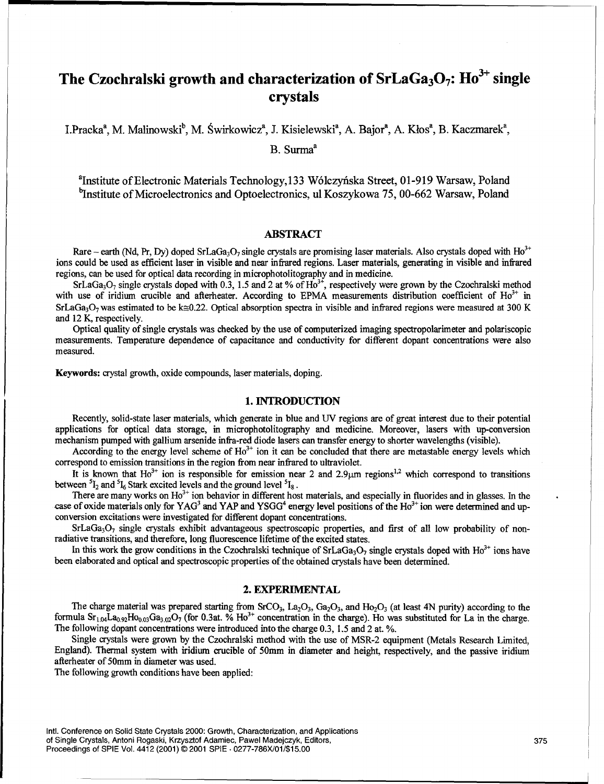## The Czochralski growth and characterization of  $SrLaGa<sub>3</sub>O<sub>7</sub>$ :  $Ho<sup>3+</sup>$  single crystals

I.Pracka<sup>a</sup>, M. Malinowski<sup>b</sup>, M. Świrkowicz<sup>a</sup>, J. Kisielewski<sup>a</sup>, A. Bajor<sup>a</sup>, A. Kłos<sup>a</sup>, B. Kaczmarek<sup>a</sup>,

B. Surma<sup>a</sup>

<sup>a</sup>Institute of Electronic Materials Technology, 133 Wólczyńska Street, 01-919 Warsaw, Poland <sup>b</sup>Institute of Microelectronics and Optoelectronics, ul Koszykowa 75, 00-662 Warsaw, Poland

#### ABSTRACT

Rare – earth (Nd, Pr, Dy) doped SrLaGa<sub>3</sub>O<sub>7</sub> single crystals are promising laser materials. Also crystals doped with Ho<sup>3</sup> ions could be used as efficient laser in visible and near infrared regions. Laser materials, generating in visible and infrared regions, can be used for optical data recording in microphotolitography and in medicine.

SrLaGa<sub>3</sub>O<sub>7</sub> single crystals doped with 0.3, 1.5 and 2 at % of  $Ho^{3+}$ , respectively were grown by the Czochralski method with use of iridium crucible and afterheater. According to EPMA measurements distribution coefficient of  $Ho^{3+}$  in SrLaGa<sub>3</sub>O<sub>7</sub> was estimated to be k $\approx 0.22$ . Optical absorption spectra in visible and infrared regions were measured at 300 K and 12 K, respectively.

Optical quality of single crystals was checked by the use of computerized imaging spectropolarimeter and polariscopic measurements. Temperature dependence of capacitance and conductivity for different dopant concentrations were also measured.

Keywords: crystal growth, oxide compounds, laser materials, doping.

#### 1. **INTRODUCTION**

Recently, solid-state laser materials, which generate in blue and UV regions are of great interest due to their potential applications for optical data storage, in microphotolitography and medicine. Moreover, lasers with up-conversion mechanism pumped with gallium arsenide infra-red diode lasers can transfer energy to shorter wavelengths (visible).

According to the energy level scheme of  $Ho<sup>3+</sup>$  ion it can be concluded that there are metastable energy levels which correspond to emission transitions in the region from near infrared to ultraviolet.

It is known that  $Ho^{3+}$  ion is responsible for emission near 2 and 2.9 $\mu$ m regions<sup>1,2</sup> which correspond to transitions between  ${}^{5}I_{2}$  and  ${}^{5}I_{6}$  Stark excited levels and the ground level  ${}^{5}I_{8}$ .

Figure 1, 200 and the term of the set of the set of the set of the set of the set of the set of the set of the<br>There are many works on Ho<sup>3+</sup> ion behavior in different host materials, and especially in fluorides and in gla case of oxide materials only for YAG<sup>3</sup> and YAP and YSGG<sup>4</sup> energy level positions of the  $Ho^{3+}$  ion were determined and upconversion excitations were investigated for different dopant concentrations.

 $SrLaGa<sub>3</sub>O<sub>7</sub>$  single crystals exhibit advantageous spectroscopic properties, and first of all low probability of nonradiative transitions, and therefore, long fluorescence lifetime of the excited states.

In this work the grow conditions in the Czochralski technique of  $SrLaGa<sub>3</sub>O<sub>7</sub>$  single crystals doped with Ho<sup>3+</sup> ions have been elaborated and optical and spectroscopic properties of the obtained crystals have been determined.

#### 2. EXPERIMENTAL

The charge material was prepared starting from SrCO<sub>3</sub>, La<sub>2</sub>O<sub>3</sub>, Ga<sub>2</sub>O<sub>3</sub>, and Ho<sub>2</sub>O<sub>3</sub> (at least 4N purity) according to the formula  $S_{1.04}$ La<sub>0.92</sub>Ho<sub>0.03</sub>Ga<sub>3.02</sub>O<sub>7</sub> (for 0.3at. % Ho<sup>3+</sup> concentration in the charge). Ho was substituted for La in the charge. The following dopant concentrations were introduced into the charge 0.3, 1.5 and 2 at. **%.**

Single crystals were grown by the Czochralski method with the use of MSR-2 equipment (Metals Research Limited, England). Thermal system with iridium crucible of 50mm in diameter and height, respectively, and the passive iridium afterheater of 50mm in diameter was used.

The following growth conditions have been applied: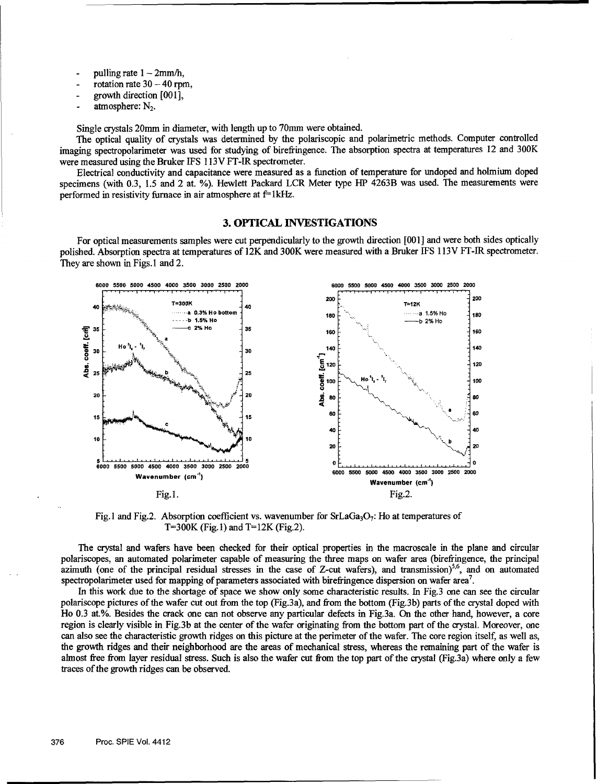- pulling rate  $1 2$ mm/h,
- $\cot{a}$  rotation rate  $30 40$  rpm,
- **-** growth direction **o00o1],**
- atmosphere: N<sub>2</sub>.

Single crystals 20mm in diameter, with length up to 70mm were obtained.

The optical quality of crystals was determined by the polariscopic and polarimetric methods. Computer controlled imaging spectropolarimeter was used for studying of birefringence. The absorption spectra at temperatures 12 and 300K were measured using the Bruker IFS 113V FT-IR spectrometer.

Electrical conductivity and capacitance were measured as a function of temperature for undoped and holmium doped specimens (with 0.3, 1.5 and 2 at. %). Hewlett Packard LCR Meter type HP 4263B was used. The measurements were performed in resistivity furnace in air atmosphere at  $f=1$  kHz.

#### **3. OPTICAL INVESTIGATIONS**

For optical measurements samples were cut perpendicularly to the growth direction [001] and were both sides optically polished. Absorption spectra at temperatures of 12K and 300K were measured with a Bruker IFS 113V FT-IR spectrometer. They are shown in Figs.I and 2.



Fig. 1 and Fig. 2. Absorption coefficient vs. wavenumber for  $SrLaGa<sub>3</sub>O<sub>7</sub>$ : Ho at temperatures of T=300K (Fig. 1) and T=12K (Fig. 2).

The crystal and wafers have been checked for their optical properties in the macroscale in the plane and circular polariscopes, an automated polarimeter capable of measuring the three maps on wafer area (birefringence, the principal azimuth (one of the principal residual stresses in the case of Z-cut wafers), and transmission)<sup>5,6</sup>, and on automated spectropolarimeter used for mapping of parameters associated with birefringence dispersion on wafer area<sup>7</sup>.

In this work due to the shortage of space we show only some characteristic results. In Fig.3 one can see the circular polariscope pictures of the wafer cut out from the top (Fig.3a), and from the bottom (Fig.3b) parts of the crystal doped with Ho 0.3 at.%. Besides the crack one can not observe any particular defects in Fig.3a. On the other hand, however, a core region is clearly visible in Fig.3b at the center of the wafer originating from the bottom part of the crystal. Moreover, one can also see the characteristic growth ridges on this picture at the perimeter of the wafer. The core region itself, as well as, the growth ridges and their neighborhood are the areas of mechanical stress, whereas the remaining part of the wafer is almost free from layer residual stress. Such is also the wafer cut from the top part of the crystal (Fig.3a) where only a few traces of the growth ridges can be observed.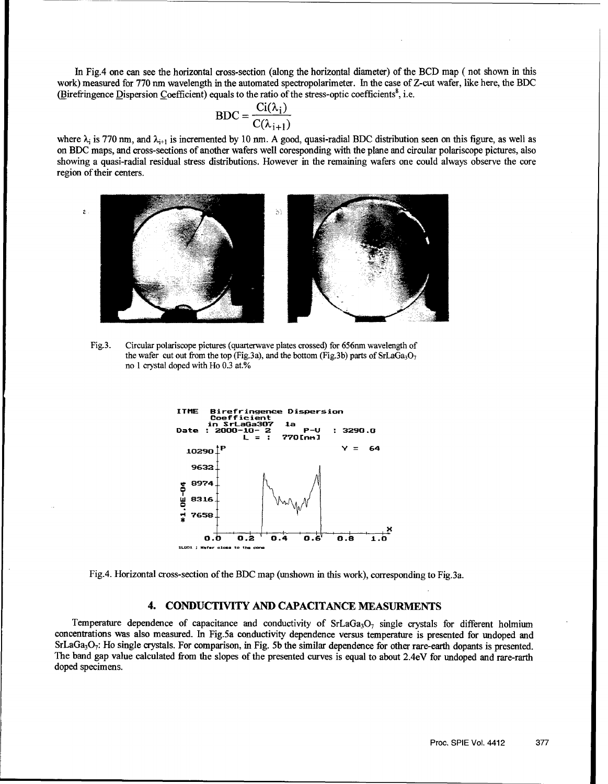In Fig.4 one can see the horizontal cross-section (along the horizontal diameter) of the BCD map ( not shown in this work) measured for 770 nm wavelength in the automated spectropolarimeter. In the case of Z-cut wafer, like here, the BDC (Birefringence Dispersion Coefficient) equals to the ratio of the stress-optic coefficients', i.e.

$$
BDC = \frac{Ci(\lambda_i)}{C(\lambda_{i+1})}
$$

where  $\lambda_i$  is 770 nm, and  $\lambda_{i+1}$  is incremented by 10 nm. A good, quasi-radial BDC distribution seen on this figure, as well as on BDC maps, and cross-sections of another wafers well coresponding with the plane and circular polariscope pictures, also showing a quasi-radial residual stress distributions. However in the remaining wafers one could always observe the core region of their centers.



Fig.3. Circular polariscope pictures (quarterwave plates crossed) for *656nm* wavelength of the wafer cut out from the top (Fig.3a), and the bottom (Fig.3b) parts of  $SrLaGa<sub>3</sub>O<sub>7</sub>$ no 1 crystal doped with Ho 0.3 at.%



Fig.4. Horizontal cross-section of the BDC map (unshown in this work), corresponding to Fig.3a.

#### 4. **CONDUCTIVITY AND CAPACITANCE MEASURMENTS**

Temperature dependence of capacitance and conductivity of  $SrLaGa<sub>3</sub>O<sub>7</sub>$  single crystals for different holmium concentrations was also measured. In Fig.5a conductivity dependence versus temperature is presented for undoped and  $SrLaGa<sub>3</sub>O<sub>7</sub>$ : Ho single crystals. For comparison, in Fig. 5b the similar dependence for other rare-earth dopants is presented. The band gap value calculated from the slopes of the presented curves is equal to about 2.4eV for undoped and rare-rarth doped specimens.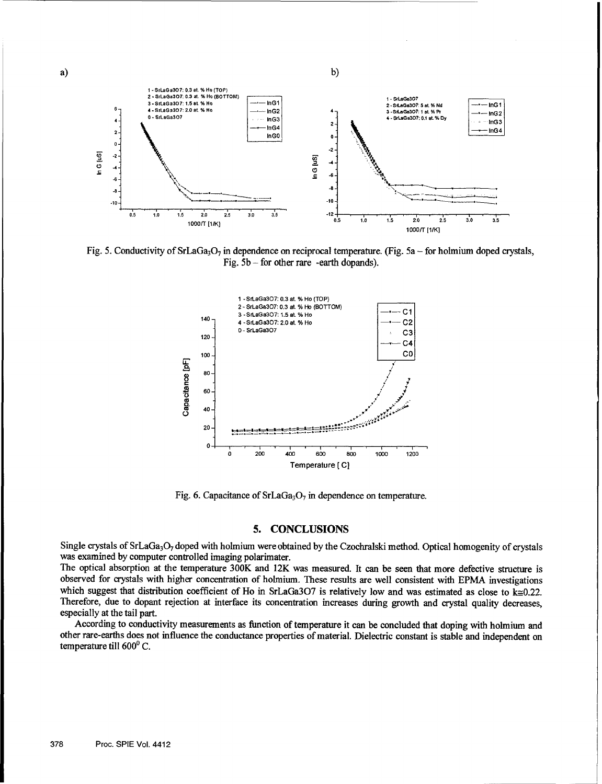

Fig. 5. Conductivity of SrLaGa<sub>3</sub>O<sub>7</sub> in dependence on reciprocal temperature. (Fig. 5a - for holmium doped crystals, Fig. **5b** - for other rare -earth dopands).



Fig. 6. Capacitance of SrLaGa<sub>3</sub>O<sub>7</sub> in dependence on temperature.

#### **5. CONCLUSIONS**

Single crystals of SrLaGa<sub>3</sub>O<sub>7</sub> doped with holmium were obtained by the Czochralski method. Optical homogenity of crystals was examined by computer controlled imaging polarimater.

The optical absorption at the temperature 300K and 12K was measured. It can be seen that more defective structure is observed for crystals with higher concentration of holmium. These results are well consistent with EPMA investigations which suggest that distribution coefficient of Ho in SrLaGa3O7 is relatively low and was estimated as close to  $k \approx 0.22$ . Therefore, due to dopant rejection at interface its concentration increases during growth and crystal quality decreases, especially at the tail part.

According to conductivity measurements as function of temperature it can be concluded that doping with holmium and other rare-earths does not influence the conductance properties of material. Dielectric constant is stable and independent on temperature till  $600^{\circ}$  C.